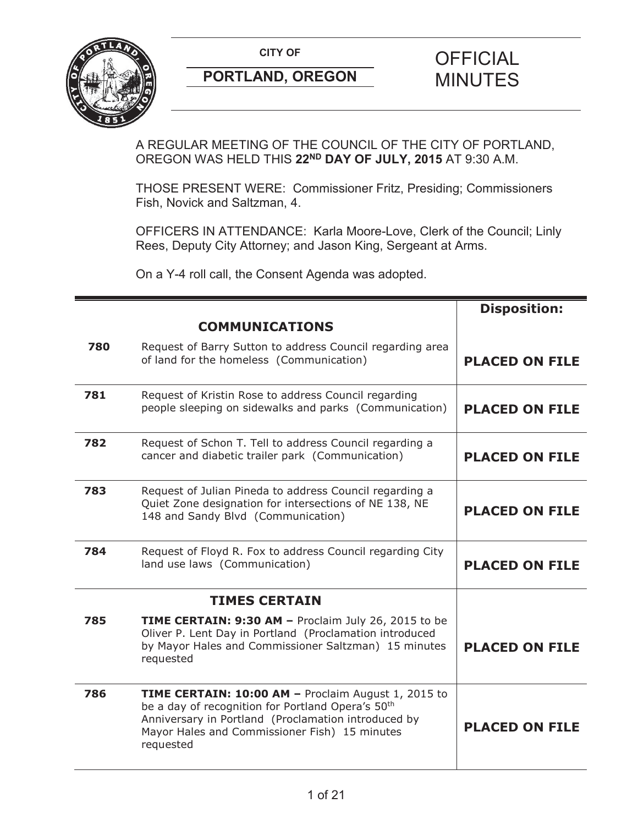

A REGULAR MEETING OF THE COUNCIL OF THE CITY OF PORTLAND, OREGON WAS HELD THIS **22ND DAY OF JULY, 2015** AT 9:30 A.M.

THOSE PRESENT WERE: Commissioner Fritz, Presiding; Commissioners Fish, Novick and Saltzman, 4.

OFFICERS IN ATTENDANCE: Karla Moore-Love, Clerk of the Council; Linly Rees, Deputy City Attorney; and Jason King, Sergeant at Arms.

On a Y-4 roll call, the Consent Agenda was adopted.

|     |                                                                                                                                                                                                                                                  | <b>Disposition:</b>   |
|-----|--------------------------------------------------------------------------------------------------------------------------------------------------------------------------------------------------------------------------------------------------|-----------------------|
|     | <b>COMMUNICATIONS</b>                                                                                                                                                                                                                            |                       |
| 780 | Request of Barry Sutton to address Council regarding area<br>of land for the homeless (Communication)                                                                                                                                            | <b>PLACED ON FILE</b> |
| 781 | Request of Kristin Rose to address Council regarding<br>people sleeping on sidewalks and parks (Communication)                                                                                                                                   | <b>PLACED ON FILE</b> |
| 782 | Request of Schon T. Tell to address Council regarding a<br>cancer and diabetic trailer park (Communication)                                                                                                                                      | <b>PLACED ON FILE</b> |
| 783 | Request of Julian Pineda to address Council regarding a<br>Quiet Zone designation for intersections of NE 138, NE<br>148 and Sandy Blvd (Communication)                                                                                          | <b>PLACED ON FILE</b> |
| 784 | Request of Floyd R. Fox to address Council regarding City<br>land use laws (Communication)                                                                                                                                                       | <b>PLACED ON FILE</b> |
|     | <b>TIMES CERTAIN</b>                                                                                                                                                                                                                             |                       |
| 785 | <b>TIME CERTAIN: 9:30 AM - Proclaim July 26, 2015 to be</b><br>Oliver P. Lent Day in Portland (Proclamation introduced<br>by Mayor Hales and Commissioner Saltzman) 15 minutes<br>requested                                                      | <b>PLACED ON FILE</b> |
| 786 | <b>TIME CERTAIN: 10:00 AM - Proclaim August 1, 2015 to</b><br>be a day of recognition for Portland Opera's 50 <sup>th</sup><br>Anniversary in Portland (Proclamation introduced by<br>Mayor Hales and Commissioner Fish) 15 minutes<br>requested | <b>PLACED ON FILE</b> |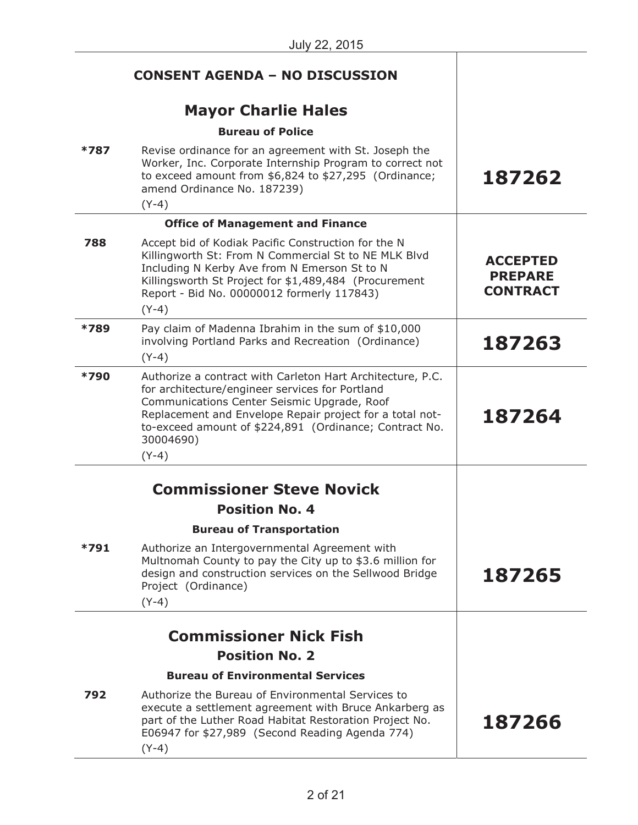|        | <b>CONSENT AGENDA - NO DISCUSSION</b>                                                                                                                                                                                                                                                                      |                                                      |
|--------|------------------------------------------------------------------------------------------------------------------------------------------------------------------------------------------------------------------------------------------------------------------------------------------------------------|------------------------------------------------------|
|        | <b>Mayor Charlie Hales</b>                                                                                                                                                                                                                                                                                 |                                                      |
|        | <b>Bureau of Police</b>                                                                                                                                                                                                                                                                                    |                                                      |
| *787   | Revise ordinance for an agreement with St. Joseph the<br>Worker, Inc. Corporate Internship Program to correct not<br>to exceed amount from \$6,824 to \$27,295 (Ordinance;<br>amend Ordinance No. 187239)<br>$(Y-4)$                                                                                       | 187262                                               |
|        | <b>Office of Management and Finance</b>                                                                                                                                                                                                                                                                    |                                                      |
| 788    | Accept bid of Kodiak Pacific Construction for the N<br>Killingworth St: From N Commercial St to NE MLK Blvd<br>Including N Kerby Ave from N Emerson St to N<br>Killingsworth St Project for \$1,489,484 (Procurement<br>Report - Bid No. 00000012 formerly 117843)<br>$(Y-4)$                              | <b>ACCEPTED</b><br><b>PREPARE</b><br><b>CONTRACT</b> |
| *789   | Pay claim of Madenna Ibrahim in the sum of \$10,000<br>involving Portland Parks and Recreation (Ordinance)<br>$(Y-4)$                                                                                                                                                                                      | 187263                                               |
| *790   | Authorize a contract with Carleton Hart Architecture, P.C.<br>for architecture/engineer services for Portland<br>Communications Center Seismic Upgrade, Roof<br>Replacement and Envelope Repair project for a total not-<br>to-exceed amount of \$224,891 (Ordinance; Contract No.<br>30004690)<br>$(Y-4)$ | 187264                                               |
|        | <b>Commissioner Steve Novick</b>                                                                                                                                                                                                                                                                           |                                                      |
|        | <b>Position No. 4</b>                                                                                                                                                                                                                                                                                      |                                                      |
|        | <b>Bureau of Transportation</b>                                                                                                                                                                                                                                                                            |                                                      |
| $*791$ | Authorize an Intergovernmental Agreement with<br>Multnomah County to pay the City up to \$3.6 million for<br>design and construction services on the Sellwood Bridge<br>Project (Ordinance)<br>$(Y-4)$                                                                                                     | 187265                                               |
|        | <b>Commissioner Nick Fish</b>                                                                                                                                                                                                                                                                              |                                                      |
|        | <b>Position No. 2</b>                                                                                                                                                                                                                                                                                      |                                                      |
|        | <b>Bureau of Environmental Services</b>                                                                                                                                                                                                                                                                    |                                                      |
| 792    | Authorize the Bureau of Environmental Services to<br>execute a settlement agreement with Bruce Ankarberg as<br>part of the Luther Road Habitat Restoration Project No.<br>E06947 for \$27,989 (Second Reading Agenda 774)<br>$(Y-4)$                                                                       | 187266                                               |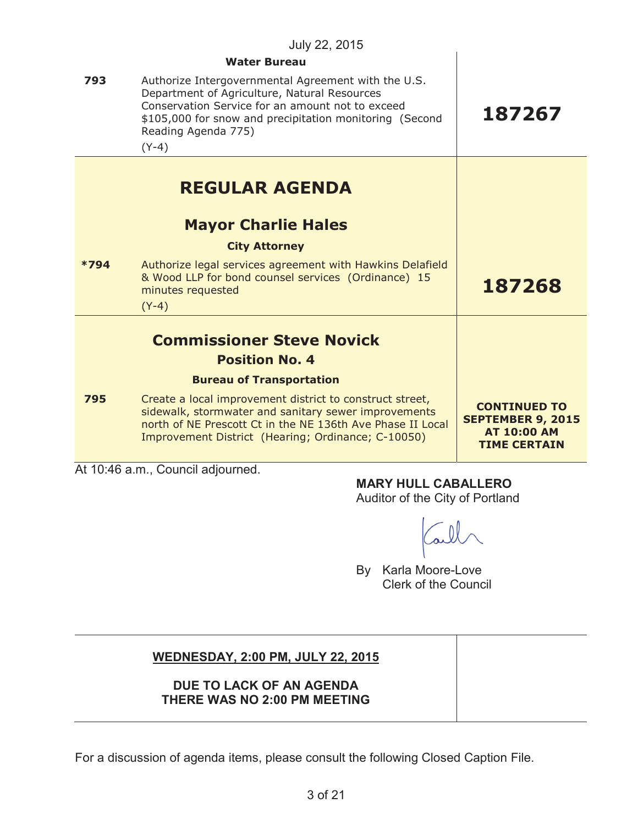|        | July 22, 2015                                                                                                                                                                                                                                        |                                                                                              |
|--------|------------------------------------------------------------------------------------------------------------------------------------------------------------------------------------------------------------------------------------------------------|----------------------------------------------------------------------------------------------|
|        | <b>Water Bureau</b>                                                                                                                                                                                                                                  |                                                                                              |
| 793    | Authorize Intergovernmental Agreement with the U.S.<br>Department of Agriculture, Natural Resources<br>Conservation Service for an amount not to exceed<br>\$105,000 for snow and precipitation monitoring (Second<br>Reading Agenda 775)<br>$(Y-4)$ | 187267                                                                                       |
|        | <b>REGULAR AGENDA</b>                                                                                                                                                                                                                                |                                                                                              |
|        | <b>Mayor Charlie Hales</b>                                                                                                                                                                                                                           |                                                                                              |
|        | <b>City Attorney</b>                                                                                                                                                                                                                                 |                                                                                              |
| $*794$ | Authorize legal services agreement with Hawkins Delafield<br>& Wood LLP for bond counsel services (Ordinance) 15<br>minutes requested<br>$(Y-4)$                                                                                                     | 187268                                                                                       |
|        | <b>Commissioner Steve Novick</b>                                                                                                                                                                                                                     |                                                                                              |
|        | <b>Position No. 4</b>                                                                                                                                                                                                                                |                                                                                              |
|        | <b>Bureau of Transportation</b>                                                                                                                                                                                                                      |                                                                                              |
| 795    | Create a local improvement district to construct street,<br>sidewalk, stormwater and sanitary sewer improvements<br>north of NE Prescott Ct in the NE 136th Ave Phase II Local<br>Improvement District (Hearing; Ordinance; C-10050)                 | <b>CONTINUED TO</b><br><b>SEPTEMBER 9, 2015</b><br><b>AT 10:00 AM</b><br><b>TIME CERTAIN</b> |
|        | $1 + 40.46$ a m Caunel adjaunaad                                                                                                                                                                                                                     |                                                                                              |

At 10:46 a.m., Council adjourned.

**MARY HULL CABALLERO**

Auditor of the City of Portland

By Karla Moore-Love Clerk of the Council

# **WEDNESDAY, 2:00 PM, JULY 22, 2015**

# **DUE TO LACK OF AN AGENDA THERE WAS NO 2:00 PM MEETING**

For a discussion of agenda items, please consult the following Closed Caption File.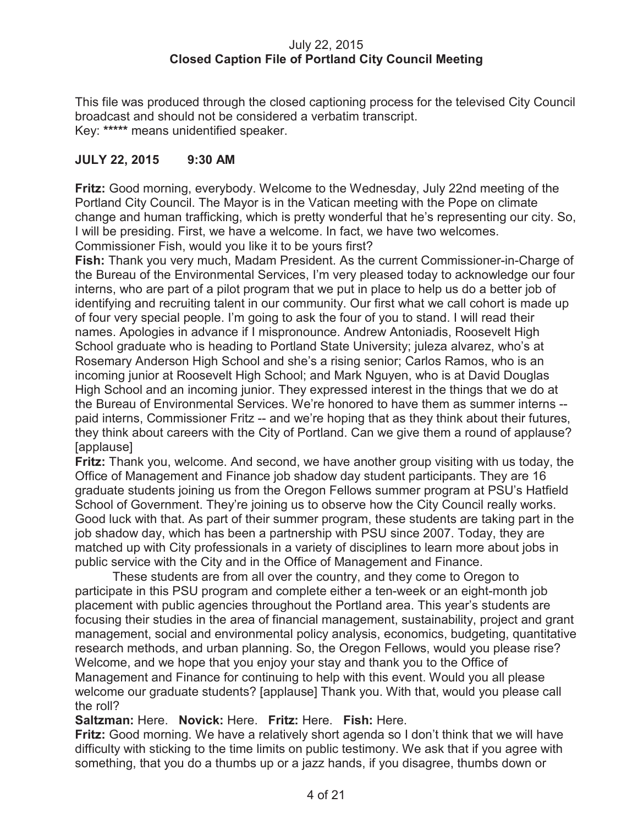## July 22, 2015 **Closed Caption File of Portland City Council Meeting**

This file was produced through the closed captioning process for the televised City Council broadcast and should not be considered a verbatim transcript. Key: **\*\*\*\*\*** means unidentified speaker.

# **JULY 22, 2015 9:30 AM**

**Fritz:** Good morning, everybody. Welcome to the Wednesday, July 22nd meeting of the Portland City Council. The Mayor is in the Vatican meeting with the Pope on climate change and human trafficking, which is pretty wonderful that he's representing our city. So, I will be presiding. First, we have a welcome. In fact, we have two welcomes. Commissioner Fish, would you like it to be yours first?

**Fish:** Thank you very much, Madam President. As the current Commissioner-in-Charge of the Bureau of the Environmental Services, I'm very pleased today to acknowledge our four interns, who are part of a pilot program that we put in place to help us do a better job of identifying and recruiting talent in our community. Our first what we call cohort is made up of four very special people. I'm going to ask the four of you to stand. I will read their names. Apologies in advance if I mispronounce. Andrew Antoniadis, Roosevelt High School graduate who is heading to Portland State University; juleza alvarez, who's at Rosemary Anderson High School and she's a rising senior; Carlos Ramos, who is an incoming junior at Roosevelt High School; and Mark Nguyen, who is at David Douglas High School and an incoming junior. They expressed interest in the things that we do at the Bureau of Environmental Services. We're honored to have them as summer interns - paid interns, Commissioner Fritz -- and we're hoping that as they think about their futures, they think about careers with the City of Portland. Can we give them a round of applause? [applause]

**Fritz:** Thank you, welcome. And second, we have another group visiting with us today, the Office of Management and Finance job shadow day student participants. They are 16 graduate students joining us from the Oregon Fellows summer program at PSU's Hatfield School of Government. They're joining us to observe how the City Council really works. Good luck with that. As part of their summer program, these students are taking part in the job shadow day, which has been a partnership with PSU since 2007. Today, they are matched up with City professionals in a variety of disciplines to learn more about jobs in public service with the City and in the Office of Management and Finance.

These students are from all over the country, and they come to Oregon to participate in this PSU program and complete either a ten-week or an eight-month job placement with public agencies throughout the Portland area. This year's students are focusing their studies in the area of financial management, sustainability, project and grant management, social and environmental policy analysis, economics, budgeting, quantitative research methods, and urban planning. So, the Oregon Fellows, would you please rise? Welcome, and we hope that you enjoy your stay and thank you to the Office of Management and Finance for continuing to help with this event. Would you all please welcome our graduate students? [applause] Thank you. With that, would you please call the roll?

# **Saltzman:** Here. **Novick:** Here. **Fritz:** Here. **Fish:** Here.

**Fritz:** Good morning. We have a relatively short agenda so I don't think that we will have difficulty with sticking to the time limits on public testimony. We ask that if you agree with something, that you do a thumbs up or a jazz hands, if you disagree, thumbs down or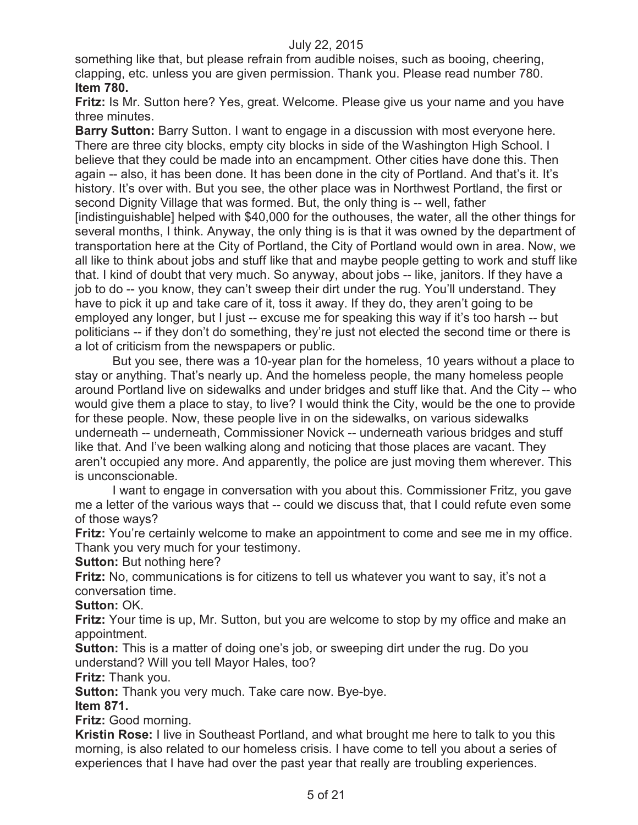something like that, but please refrain from audible noises, such as booing, cheering, clapping, etc. unless you are given permission. Thank you. Please read number 780. **Item 780.**

**Fritz:** Is Mr. Sutton here? Yes, great. Welcome. Please give us your name and you have three minutes.

**Barry Sutton:** Barry Sutton. I want to engage in a discussion with most everyone here. There are three city blocks, empty city blocks in side of the Washington High School. I believe that they could be made into an encampment. Other cities have done this. Then again -- also, it has been done. It has been done in the city of Portland. And that's it. It's history. It's over with. But you see, the other place was in Northwest Portland, the first or second Dignity Village that was formed. But, the only thing is -- well, father [indistinguishable] helped with \$40,000 for the outhouses, the water, all the other things for several months, I think. Anyway, the only thing is is that it was owned by the department of transportation here at the City of Portland, the City of Portland would own in area. Now, we all like to think about jobs and stuff like that and maybe people getting to work and stuff like that. I kind of doubt that very much. So anyway, about jobs -- like, janitors. If they have a job to do -- you know, they can't sweep their dirt under the rug. You'll understand. They have to pick it up and take care of it, toss it away. If they do, they aren't going to be employed any longer, but I just -- excuse me for speaking this way if it's too harsh -- but politicians -- if they don't do something, they're just not elected the second time or there is a lot of criticism from the newspapers or public.

But you see, there was a 10-year plan for the homeless, 10 years without a place to stay or anything. That's nearly up. And the homeless people, the many homeless people around Portland live on sidewalks and under bridges and stuff like that. And the City -- who would give them a place to stay, to live? I would think the City, would be the one to provide for these people. Now, these people live in on the sidewalks, on various sidewalks underneath -- underneath, Commissioner Novick -- underneath various bridges and stuff like that. And I've been walking along and noticing that those places are vacant. They aren't occupied any more. And apparently, the police are just moving them wherever. This is unconscionable.

I want to engage in conversation with you about this. Commissioner Fritz, you gave me a letter of the various ways that -- could we discuss that, that I could refute even some of those ways?

**Fritz:** You're certainly welcome to make an appointment to come and see me in my office. Thank you very much for your testimony.

**Sutton: But nothing here?** 

**Fritz:** No, communications is for citizens to tell us whatever you want to say, it's not a conversation time.

**Sutton:** OK.

**Fritz:** Your time is up, Mr. Sutton, but you are welcome to stop by my office and make an appointment.

**Sutton:** This is a matter of doing one's job, or sweeping dirt under the rug. Do you understand? Will you tell Mayor Hales, too?

**Fritz:** Thank you.

**Sutton:** Thank you very much. Take care now. Bye-bye.

**Item 871.**

**Fritz:** Good morning.

**Kristin Rose:** I live in Southeast Portland, and what brought me here to talk to you this morning, is also related to our homeless crisis. I have come to tell you about a series of experiences that I have had over the past year that really are troubling experiences.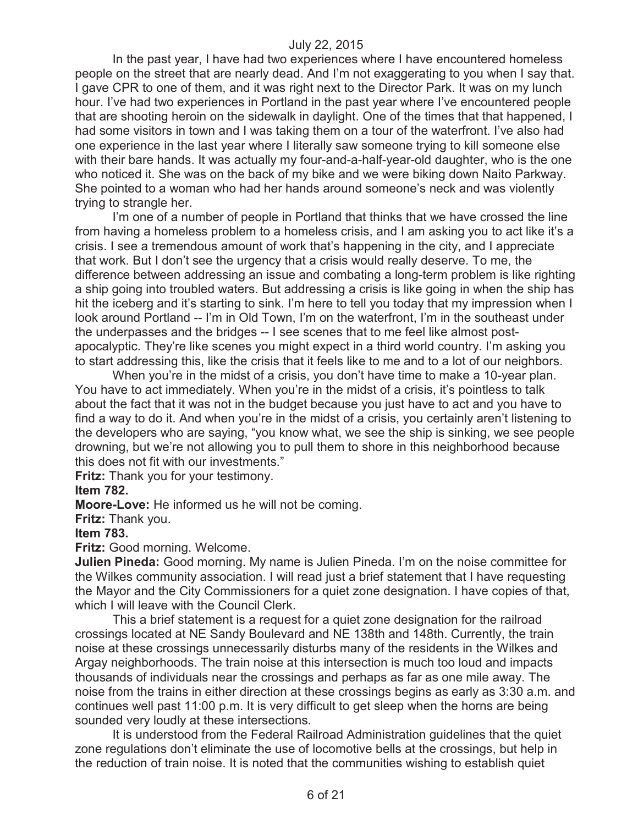In the past year, I have had two experiences where I have encountered homeless people on the street that are nearly dead. And I'm not exaggerating to you when I say that. I gave CPR to one of them, and it was right next to the Director Park. It was on my lunch hour. I've had two experiences in Portland in the past year where I've encountered people that are shooting heroin on the sidewalk in daylight. One of the times that that happened, I had some visitors in town and I was taking them on a tour of the waterfront. I've also had one experience in the last year where I literally saw someone trying to kill someone else with their bare hands. It was actually my four-and-a-half-year-old daughter, who is the one who noticed it. She was on the back of my bike and we were biking down Naito Parkway. She pointed to a woman who had her hands around someone's neck and was violently trying to strangle her.

I'm one of a number of people in Portland that thinks that we have crossed the line from having a homeless problem to a homeless crisis, and I am asking you to act like it's a crisis. I see a tremendous amount of work that's happening in the city, and I appreciate that work. But I don't see the urgency that a crisis would really deserve. To me, the difference between addressing an issue and combating a long-term problem is like righting a ship going into troubled waters. But addressing a crisis is like going in when the ship has hit the iceberg and it's starting to sink. I'm here to tell you today that my impression when I look around Portland -- I'm in Old Town, I'm on the waterfront, I'm in the southeast under the underpasses and the bridges -- I see scenes that to me feel like almost postapocalyptic. They're like scenes you might expect in a third world country. I'm asking you to start addressing this, like the crisis that it feels like to me and to a lot of our neighbors.

When you're in the midst of a crisis, you don't have time to make a 10-year plan. You have to act immediately. When you're in the midst of a crisis, it's pointless to talk about the fact that it was not in the budget because you just have to act and you have to find a way to do it. And when you're in the midst of a crisis, you certainly aren't listening to the developers who are saying, "you know what, we see the ship is sinking, we see people drowning, but we're not allowing you to pull them to shore in this neighborhood because this does not fit with our investments."

**Fritz:** Thank you for your testimony.

**Item 782.**

**Moore-Love:** He informed us he will not be coming.

**Fritz:** Thank you.

**Item 783.**

**Fritz:** Good morning. Welcome.

**Julien Pineda:** Good morning. My name is Julien Pineda. I'm on the noise committee for the Wilkes community association. I will read just a brief statement that I have requesting the Mayor and the City Commissioners for a quiet zone designation. I have copies of that, which I will leave with the Council Clerk.

This a brief statement is a request for a quiet zone designation for the railroad crossings located at NE Sandy Boulevard and NE 138th and 148th. Currently, the train noise at these crossings unnecessarily disturbs many of the residents in the Wilkes and Argay neighborhoods. The train noise at this intersection is much too loud and impacts thousands of individuals near the crossings and perhaps as far as one mile away. The noise from the trains in either direction at these crossings begins as early as 3:30 a.m. and continues well past 11:00 p.m. It is very difficult to get sleep when the horns are being sounded very loudly at these intersections.

It is understood from the Federal Railroad Administration guidelines that the quiet zone regulations don't eliminate the use of locomotive bells at the crossings, but help in the reduction of train noise. It is noted that the communities wishing to establish quiet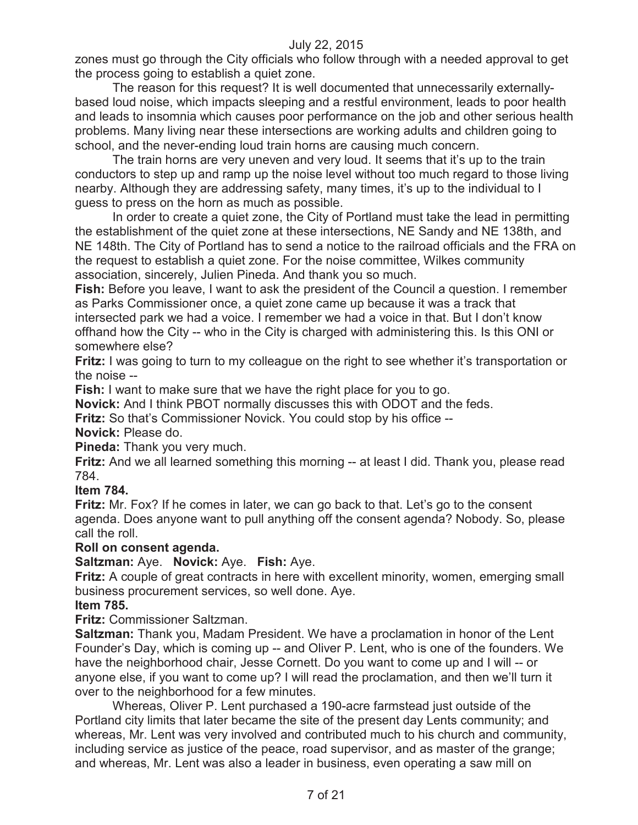zones must go through the City officials who follow through with a needed approval to get the process going to establish a quiet zone.

The reason for this request? It is well documented that unnecessarily externallybased loud noise, which impacts sleeping and a restful environment, leads to poor health and leads to insomnia which causes poor performance on the job and other serious health problems. Many living near these intersections are working adults and children going to school, and the never-ending loud train horns are causing much concern.

The train horns are very uneven and very loud. It seems that it's up to the train conductors to step up and ramp up the noise level without too much regard to those living nearby. Although they are addressing safety, many times, it's up to the individual to I guess to press on the horn as much as possible.

In order to create a quiet zone, the City of Portland must take the lead in permitting the establishment of the quiet zone at these intersections, NE Sandy and NE 138th, and NE 148th. The City of Portland has to send a notice to the railroad officials and the FRA on the request to establish a quiet zone. For the noise committee, Wilkes community association, sincerely, Julien Pineda. And thank you so much.

**Fish:** Before you leave, I want to ask the president of the Council a question. I remember as Parks Commissioner once, a quiet zone came up because it was a track that intersected park we had a voice. I remember we had a voice in that. But I don't know offhand how the City -- who in the City is charged with administering this. Is this ONI or somewhere else?

**Fritz:** I was going to turn to my colleague on the right to see whether it's transportation or the noise --

**Fish:** I want to make sure that we have the right place for you to go.

**Novick:** And I think PBOT normally discusses this with ODOT and the feds.

**Fritz:** So that's Commissioner Novick. You could stop by his office --

**Novick:** Please do.

**Pineda:** Thank you very much.

**Fritz:** And we all learned something this morning -- at least I did. Thank you, please read 784.

#### **Item 784.**

**Fritz:** Mr. Fox? If he comes in later, we can go back to that. Let's go to the consent agenda. Does anyone want to pull anything off the consent agenda? Nobody. So, please call the roll.

# **Roll on consent agenda.**

**Saltzman:** Aye. **Novick:** Aye. **Fish:** Aye.

**Fritz:** A couple of great contracts in here with excellent minority, women, emerging small business procurement services, so well done. Aye.

#### **Item 785.**

**Fritz:** Commissioner Saltzman.

**Saltzman:** Thank you, Madam President. We have a proclamation in honor of the Lent Founder's Day, which is coming up -- and Oliver P. Lent, who is one of the founders. We have the neighborhood chair, Jesse Cornett. Do you want to come up and I will -- or anyone else, if you want to come up? I will read the proclamation, and then we'll turn it over to the neighborhood for a few minutes.

Whereas, Oliver P. Lent purchased a 190-acre farmstead just outside of the Portland city limits that later became the site of the present day Lents community; and whereas, Mr. Lent was very involved and contributed much to his church and community, including service as justice of the peace, road supervisor, and as master of the grange; and whereas, Mr. Lent was also a leader in business, even operating a saw mill on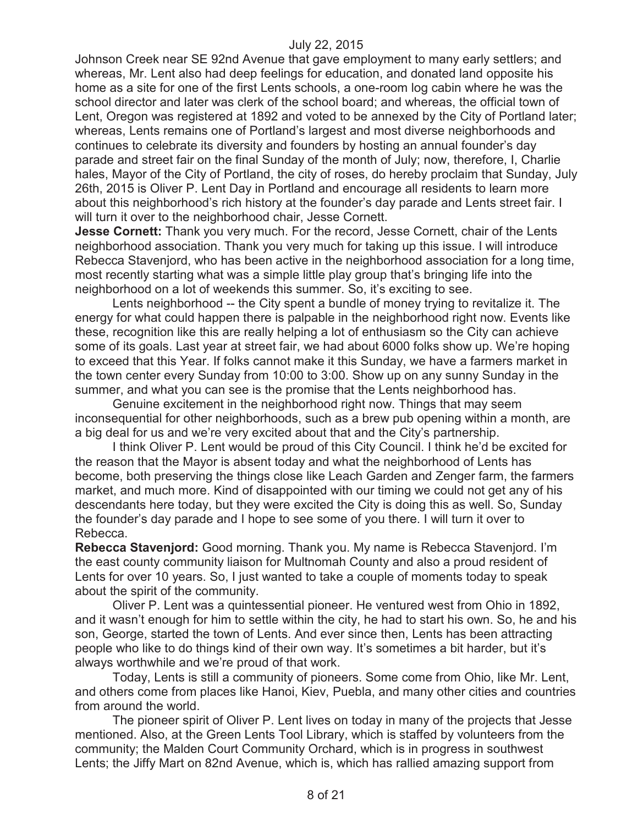Johnson Creek near SE 92nd Avenue that gave employment to many early settlers; and whereas, Mr. Lent also had deep feelings for education, and donated land opposite his home as a site for one of the first Lents schools, a one-room log cabin where he was the school director and later was clerk of the school board; and whereas, the official town of Lent, Oregon was registered at 1892 and voted to be annexed by the City of Portland later; whereas, Lents remains one of Portland's largest and most diverse neighborhoods and continues to celebrate its diversity and founders by hosting an annual founder's day parade and street fair on the final Sunday of the month of July; now, therefore, I, Charlie hales, Mayor of the City of Portland, the city of roses, do hereby proclaim that Sunday, July 26th, 2015 is Oliver P. Lent Day in Portland and encourage all residents to learn more about this neighborhood's rich history at the founder's day parade and Lents street fair. I will turn it over to the neighborhood chair, Jesse Cornett.

**Jesse Cornett:** Thank you very much. For the record, Jesse Cornett, chair of the Lents neighborhood association. Thank you very much for taking up this issue. I will introduce Rebecca Stavenjord, who has been active in the neighborhood association for a long time, most recently starting what was a simple little play group that's bringing life into the neighborhood on a lot of weekends this summer. So, it's exciting to see.

Lents neighborhood -- the City spent a bundle of money trying to revitalize it. The energy for what could happen there is palpable in the neighborhood right now. Events like these, recognition like this are really helping a lot of enthusiasm so the City can achieve some of its goals. Last year at street fair, we had about 6000 folks show up. We're hoping to exceed that this Year. If folks cannot make it this Sunday, we have a farmers market in the town center every Sunday from 10:00 to 3:00. Show up on any sunny Sunday in the summer, and what you can see is the promise that the Lents neighborhood has.

Genuine excitement in the neighborhood right now. Things that may seem inconsequential for other neighborhoods, such as a brew pub opening within a month, are a big deal for us and we're very excited about that and the City's partnership.

I think Oliver P. Lent would be proud of this City Council. I think he'd be excited for the reason that the Mayor is absent today and what the neighborhood of Lents has become, both preserving the things close like Leach Garden and Zenger farm, the farmers market, and much more. Kind of disappointed with our timing we could not get any of his descendants here today, but they were excited the City is doing this as well. So, Sunday the founder's day parade and I hope to see some of you there. I will turn it over to Rebecca.

**Rebecca Stavenjord:** Good morning. Thank you. My name is Rebecca Stavenjord. I'm the east county community liaison for Multnomah County and also a proud resident of Lents for over 10 years. So, I just wanted to take a couple of moments today to speak about the spirit of the community.

Oliver P. Lent was a quintessential pioneer. He ventured west from Ohio in 1892, and it wasn't enough for him to settle within the city, he had to start his own. So, he and his son, George, started the town of Lents. And ever since then, Lents has been attracting people who like to do things kind of their own way. It's sometimes a bit harder, but it's always worthwhile and we're proud of that work.

Today, Lents is still a community of pioneers. Some come from Ohio, like Mr. Lent, and others come from places like Hanoi, Kiev, Puebla, and many other cities and countries from around the world.

The pioneer spirit of Oliver P. Lent lives on today in many of the projects that Jesse mentioned. Also, at the Green Lents Tool Library, which is staffed by volunteers from the community; the Malden Court Community Orchard, which is in progress in southwest Lents; the Jiffy Mart on 82nd Avenue, which is, which has rallied amazing support from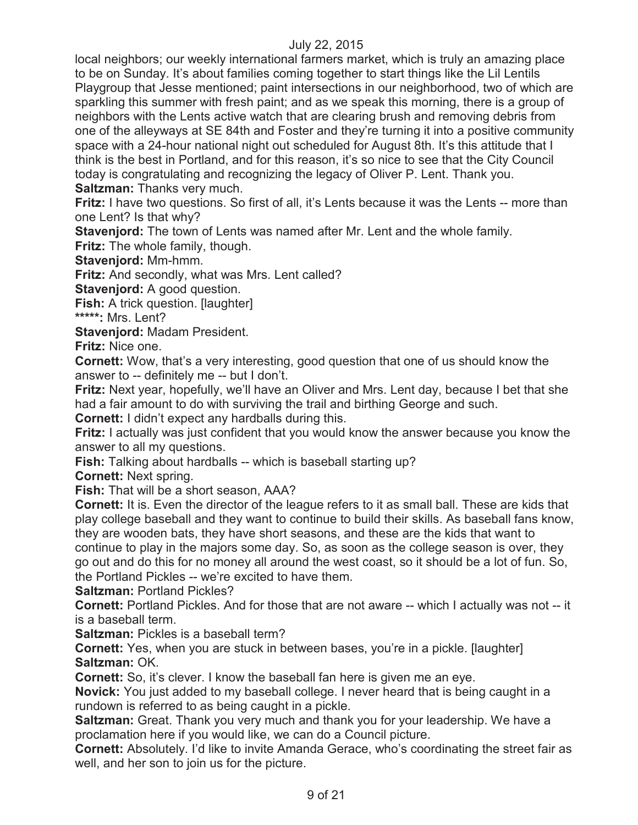local neighbors; our weekly international farmers market, which is truly an amazing place to be on Sunday. It's about families coming together to start things like the Lil Lentils Playgroup that Jesse mentioned; paint intersections in our neighborhood, two of which are sparkling this summer with fresh paint; and as we speak this morning, there is a group of neighbors with the Lents active watch that are clearing brush and removing debris from one of the alleyways at SE 84th and Foster and they're turning it into a positive community space with a 24-hour national night out scheduled for August 8th. It's this attitude that I think is the best in Portland, and for this reason, it's so nice to see that the City Council today is congratulating and recognizing the legacy of Oliver P. Lent. Thank you. **Saltzman:** Thanks very much.

**Fritz:** I have two questions. So first of all, it's Lents because it was the Lents -- more than one Lent? Is that why?

**Stavenjord:** The town of Lents was named after Mr. Lent and the whole family. **Fritz:** The whole family, though.

**Stavenjord:** Mm-hmm.

**Fritz:** And secondly, what was Mrs. Lent called?

**Stavenjord:** A good question.

**Fish:** A trick question. [laughter]

**\*\*\*\*\*:** Mrs. Lent?

**Stavenjord:** Madam President.

**Fritz:** Nice one.

**Cornett:** Wow, that's a very interesting, good question that one of us should know the answer to -- definitely me -- but I don't.

**Fritz:** Next year, hopefully, we'll have an Oliver and Mrs. Lent day, because I bet that she had a fair amount to do with surviving the trail and birthing George and such.

**Cornett:** I didn't expect any hardballs during this.

**Fritz:** I actually was just confident that you would know the answer because you know the answer to all my questions.

**Fish:** Talking about hardballs -- which is baseball starting up?

**Cornett:** Next spring.

**Fish:** That will be a short season, AAA?

**Cornett:** It is. Even the director of the league refers to it as small ball. These are kids that play college baseball and they want to continue to build their skills. As baseball fans know, they are wooden bats, they have short seasons, and these are the kids that want to continue to play in the majors some day. So, as soon as the college season is over, they go out and do this for no money all around the west coast, so it should be a lot of fun. So, the Portland Pickles -- we're excited to have them.

**Saltzman:** Portland Pickles?

**Cornett:** Portland Pickles. And for those that are not aware -- which I actually was not -- it is a baseball term.

**Saltzman:** Pickles is a baseball term?

**Cornett:** Yes, when you are stuck in between bases, you're in a pickle. [laughter] **Saltzman:** OK.

**Cornett:** So, it's clever. I know the baseball fan here is given me an eye.

**Novick:** You just added to my baseball college. I never heard that is being caught in a rundown is referred to as being caught in a pickle.

**Saltzman:** Great. Thank you very much and thank you for your leadership. We have a proclamation here if you would like, we can do a Council picture.

**Cornett:** Absolutely. I'd like to invite Amanda Gerace, who's coordinating the street fair as well, and her son to join us for the picture.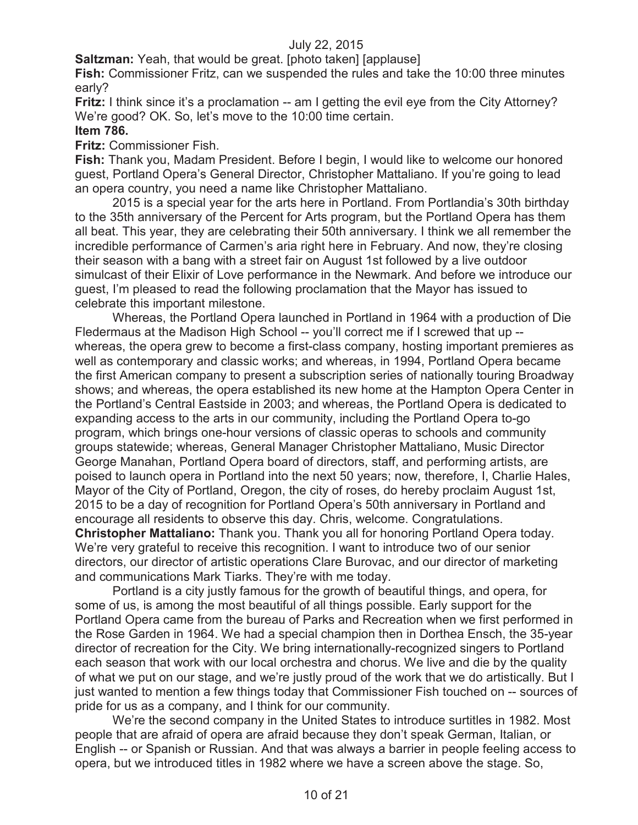**Saltzman:** Yeah, that would be great. [photo taken] [applause]

**Fish:** Commissioner Fritz, can we suspended the rules and take the 10:00 three minutes early?

**Fritz:** I think since it's a proclamation -- am I getting the evil eye from the City Attorney? We're good? OK. So, let's move to the 10:00 time certain.

## **Item 786.**

**Fritz:** Commissioner Fish.

**Fish:** Thank you, Madam President. Before I begin, I would like to welcome our honored guest, Portland Opera's General Director, Christopher Mattaliano. If you're going to lead an opera country, you need a name like Christopher Mattaliano.

2015 is a special year for the arts here in Portland. From Portlandia's 30th birthday to the 35th anniversary of the Percent for Arts program, but the Portland Opera has them all beat. This year, they are celebrating their 50th anniversary. I think we all remember the incredible performance of Carmen's aria right here in February. And now, they're closing their season with a bang with a street fair on August 1st followed by a live outdoor simulcast of their Elixir of Love performance in the Newmark. And before we introduce our guest, I'm pleased to read the following proclamation that the Mayor has issued to celebrate this important milestone.

Whereas, the Portland Opera launched in Portland in 1964 with a production of Die Fledermaus at the Madison High School -- you'll correct me if I screwed that up - whereas, the opera grew to become a first-class company, hosting important premieres as well as contemporary and classic works; and whereas, in 1994, Portland Opera became the first American company to present a subscription series of nationally touring Broadway shows; and whereas, the opera established its new home at the Hampton Opera Center in the Portland's Central Eastside in 2003; and whereas, the Portland Opera is dedicated to expanding access to the arts in our community, including the Portland Opera to-go program, which brings one-hour versions of classic operas to schools and community groups statewide; whereas, General Manager Christopher Mattaliano, Music Director George Manahan, Portland Opera board of directors, staff, and performing artists, are poised to launch opera in Portland into the next 50 years; now, therefore, I, Charlie Hales, Mayor of the City of Portland, Oregon, the city of roses, do hereby proclaim August 1st, 2015 to be a day of recognition for Portland Opera's 50th anniversary in Portland and encourage all residents to observe this day. Chris, welcome. Congratulations. **Christopher Mattaliano:** Thank you. Thank you all for honoring Portland Opera today. We're very grateful to receive this recognition. I want to introduce two of our senior directors, our director of artistic operations Clare Burovac, and our director of marketing and communications Mark Tiarks. They're with me today.

Portland is a city justly famous for the growth of beautiful things, and opera, for some of us, is among the most beautiful of all things possible. Early support for the Portland Opera came from the bureau of Parks and Recreation when we first performed in the Rose Garden in 1964. We had a special champion then in Dorthea Ensch, the 35-year director of recreation for the City. We bring internationally-recognized singers to Portland each season that work with our local orchestra and chorus. We live and die by the quality of what we put on our stage, and we're justly proud of the work that we do artistically. But I just wanted to mention a few things today that Commissioner Fish touched on -- sources of pride for us as a company, and I think for our community.

We're the second company in the United States to introduce surtitles in 1982. Most people that are afraid of opera are afraid because they don't speak German, Italian, or English -- or Spanish or Russian. And that was always a barrier in people feeling access to opera, but we introduced titles in 1982 where we have a screen above the stage. So,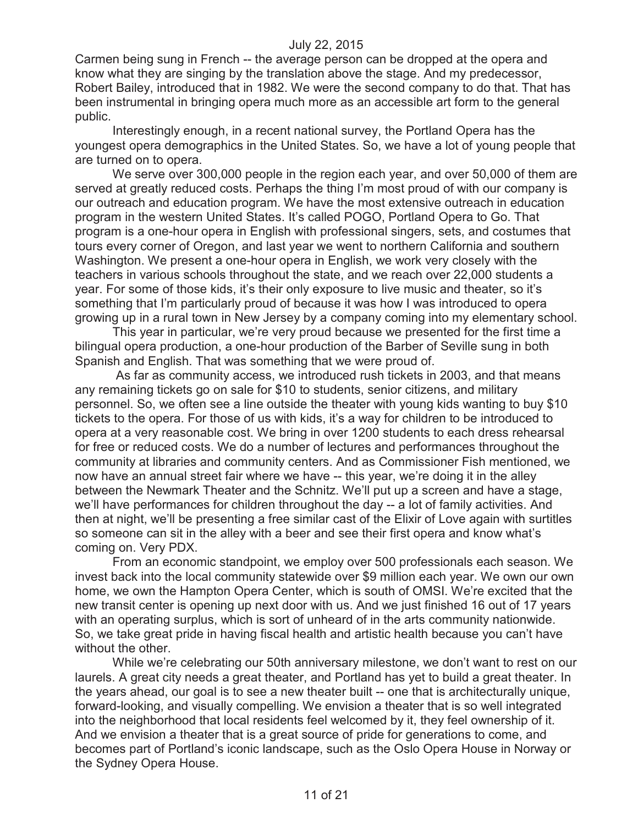Carmen being sung in French -- the average person can be dropped at the opera and know what they are singing by the translation above the stage. And my predecessor, Robert Bailey, introduced that in 1982. We were the second company to do that. That has been instrumental in bringing opera much more as an accessible art form to the general public.

Interestingly enough, in a recent national survey, the Portland Opera has the youngest opera demographics in the United States. So, we have a lot of young people that are turned on to opera.

We serve over 300,000 people in the region each year, and over 50,000 of them are served at greatly reduced costs. Perhaps the thing I'm most proud of with our company is our outreach and education program. We have the most extensive outreach in education program in the western United States. It's called POGO, Portland Opera to Go. That program is a one-hour opera in English with professional singers, sets, and costumes that tours every corner of Oregon, and last year we went to northern California and southern Washington. We present a one-hour opera in English, we work very closely with the teachers in various schools throughout the state, and we reach over 22,000 students a year. For some of those kids, it's their only exposure to live music and theater, so it's something that I'm particularly proud of because it was how I was introduced to opera growing up in a rural town in New Jersey by a company coming into my elementary school.

This year in particular, we're very proud because we presented for the first time a bilingual opera production, a one-hour production of the Barber of Seville sung in both Spanish and English. That was something that we were proud of.

As far as community access, we introduced rush tickets in 2003, and that means any remaining tickets go on sale for \$10 to students, senior citizens, and military personnel. So, we often see a line outside the theater with young kids wanting to buy \$10 tickets to the opera. For those of us with kids, it's a way for children to be introduced to opera at a very reasonable cost. We bring in over 1200 students to each dress rehearsal for free or reduced costs. We do a number of lectures and performances throughout the community at libraries and community centers. And as Commissioner Fish mentioned, we now have an annual street fair where we have -- this year, we're doing it in the alley between the Newmark Theater and the Schnitz. We'll put up a screen and have a stage, we'll have performances for children throughout the day -- a lot of family activities. And then at night, we'll be presenting a free similar cast of the Elixir of Love again with surtitles so someone can sit in the alley with a beer and see their first opera and know what's coming on. Very PDX.

From an economic standpoint, we employ over 500 professionals each season. We invest back into the local community statewide over \$9 million each year. We own our own home, we own the Hampton Opera Center, which is south of OMSI. We're excited that the new transit center is opening up next door with us. And we just finished 16 out of 17 years with an operating surplus, which is sort of unheard of in the arts community nationwide. So, we take great pride in having fiscal health and artistic health because you can't have without the other.

While we're celebrating our 50th anniversary milestone, we don't want to rest on our laurels. A great city needs a great theater, and Portland has yet to build a great theater. In the years ahead, our goal is to see a new theater built -- one that is architecturally unique, forward-looking, and visually compelling. We envision a theater that is so well integrated into the neighborhood that local residents feel welcomed by it, they feel ownership of it. And we envision a theater that is a great source of pride for generations to come, and becomes part of Portland's iconic landscape, such as the Oslo Opera House in Norway or the Sydney Opera House.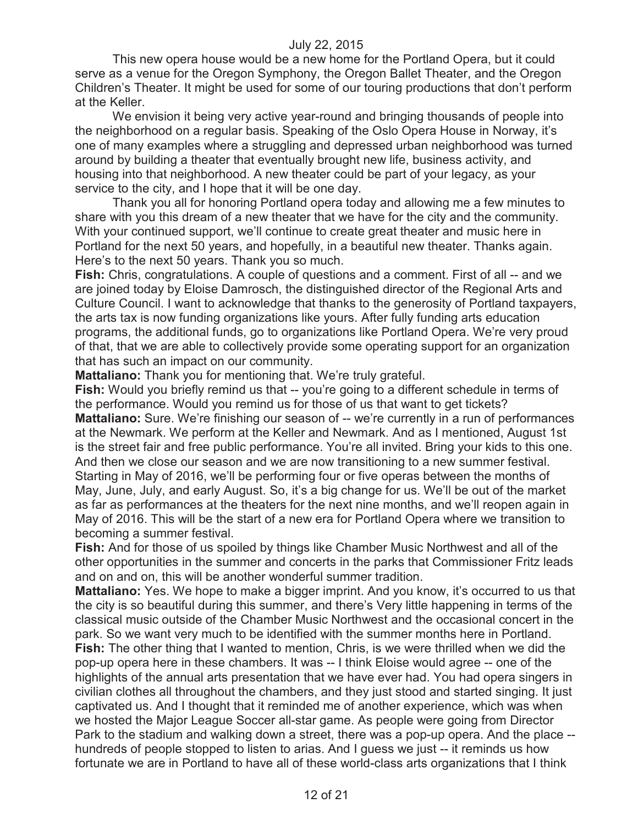This new opera house would be a new home for the Portland Opera, but it could serve as a venue for the Oregon Symphony, the Oregon Ballet Theater, and the Oregon Children's Theater. It might be used for some of our touring productions that don't perform at the Keller.

We envision it being very active year-round and bringing thousands of people into the neighborhood on a regular basis. Speaking of the Oslo Opera House in Norway, it's one of many examples where a struggling and depressed urban neighborhood was turned around by building a theater that eventually brought new life, business activity, and housing into that neighborhood. A new theater could be part of your legacy, as your service to the city, and I hope that it will be one day.

Thank you all for honoring Portland opera today and allowing me a few minutes to share with you this dream of a new theater that we have for the city and the community. With your continued support, we'll continue to create great theater and music here in Portland for the next 50 years, and hopefully, in a beautiful new theater. Thanks again. Here's to the next 50 years. Thank you so much.

**Fish:** Chris, congratulations. A couple of questions and a comment. First of all -- and we are joined today by Eloise Damrosch, the distinguished director of the Regional Arts and Culture Council. I want to acknowledge that thanks to the generosity of Portland taxpayers, the arts tax is now funding organizations like yours. After fully funding arts education programs, the additional funds, go to organizations like Portland Opera. We're very proud of that, that we are able to collectively provide some operating support for an organization that has such an impact on our community.

**Mattaliano:** Thank you for mentioning that. We're truly grateful.

**Fish:** Would you briefly remind us that -- you're going to a different schedule in terms of the performance. Would you remind us for those of us that want to get tickets? **Mattaliano:** Sure. We're finishing our season of -- we're currently in a run of performances at the Newmark. We perform at the Keller and Newmark. And as I mentioned, August 1st is the street fair and free public performance. You're all invited. Bring your kids to this one. And then we close our season and we are now transitioning to a new summer festival. Starting in May of 2016, we'll be performing four or five operas between the months of May, June, July, and early August. So, it's a big change for us. We'll be out of the market as far as performances at the theaters for the next nine months, and we'll reopen again in May of 2016. This will be the start of a new era for Portland Opera where we transition to becoming a summer festival.

**Fish:** And for those of us spoiled by things like Chamber Music Northwest and all of the other opportunities in the summer and concerts in the parks that Commissioner Fritz leads and on and on, this will be another wonderful summer tradition.

**Mattaliano:** Yes. We hope to make a bigger imprint. And you know, it's occurred to us that the city is so beautiful during this summer, and there's Very little happening in terms of the classical music outside of the Chamber Music Northwest and the occasional concert in the park. So we want very much to be identified with the summer months here in Portland. **Fish:** The other thing that I wanted to mention, Chris, is we were thrilled when we did the pop-up opera here in these chambers. It was -- I think Eloise would agree -- one of the highlights of the annual arts presentation that we have ever had. You had opera singers in civilian clothes all throughout the chambers, and they just stood and started singing. It just captivated us. And I thought that it reminded me of another experience, which was when we hosted the Major League Soccer all-star game. As people were going from Director Park to the stadium and walking down a street, there was a pop-up opera. And the place - hundreds of people stopped to listen to arias. And I guess we just -- it reminds us how fortunate we are in Portland to have all of these world-class arts organizations that I think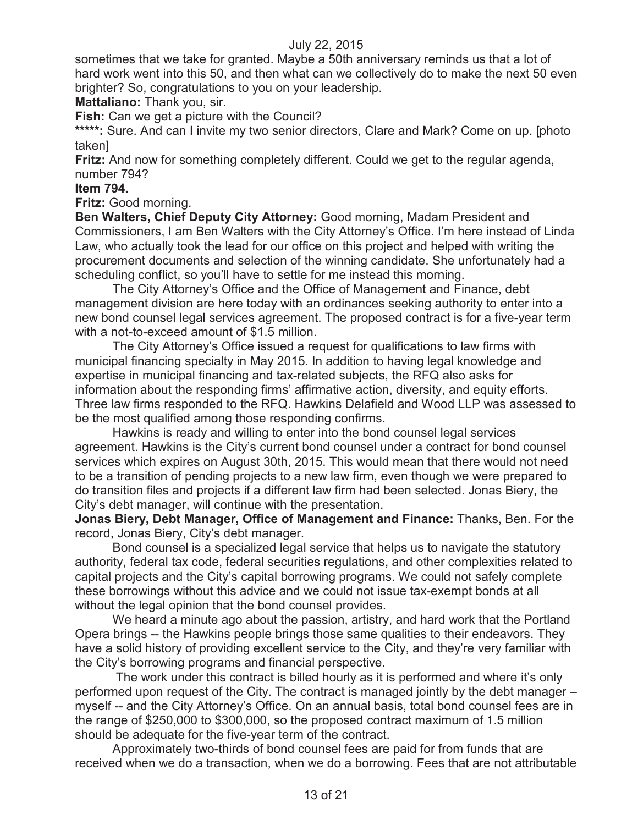sometimes that we take for granted. Maybe a 50th anniversary reminds us that a lot of hard work went into this 50, and then what can we collectively do to make the next 50 even brighter? So, congratulations to you on your leadership.

**Mattaliano:** Thank you, sir.

**Fish:** Can we get a picture with the Council?

\*\*\*\*\*: Sure. And can I invite my two senior directors, Clare and Mark? Come on up. [photo] taken]

**Fritz:** And now for something completely different. Could we get to the regular agenda, number 794?

#### **Item 794.**

**Fritz:** Good morning.

**Ben Walters, Chief Deputy City Attorney:** Good morning, Madam President and Commissioners, I am Ben Walters with the City Attorney's Office. I'm here instead of Linda Law, who actually took the lead for our office on this project and helped with writing the procurement documents and selection of the winning candidate. She unfortunately had a scheduling conflict, so you'll have to settle for me instead this morning.

The City Attorney's Office and the Office of Management and Finance, debt management division are here today with an ordinances seeking authority to enter into a new bond counsel legal services agreement. The proposed contract is for a five-year term with a not-to-exceed amount of \$1.5 million.

The City Attorney's Office issued a request for qualifications to law firms with municipal financing specialty in May 2015. In addition to having legal knowledge and expertise in municipal financing and tax-related subjects, the RFQ also asks for information about the responding firms' affirmative action, diversity, and equity efforts. Three law firms responded to the RFQ. Hawkins Delafield and Wood LLP was assessed to be the most qualified among those responding confirms.

Hawkins is ready and willing to enter into the bond counsel legal services agreement. Hawkins is the City's current bond counsel under a contract for bond counsel services which expires on August 30th, 2015. This would mean that there would not need to be a transition of pending projects to a new law firm, even though we were prepared to do transition files and projects if a different law firm had been selected. Jonas Biery, the City's debt manager, will continue with the presentation.

**Jonas Biery, Debt Manager, Office of Management and Finance:** Thanks, Ben. For the record, Jonas Biery, City's debt manager.

Bond counsel is a specialized legal service that helps us to navigate the statutory authority, federal tax code, federal securities regulations, and other complexities related to capital projects and the City's capital borrowing programs. We could not safely complete these borrowings without this advice and we could not issue tax-exempt bonds at all without the legal opinion that the bond counsel provides.

We heard a minute ago about the passion, artistry, and hard work that the Portland Opera brings -- the Hawkins people brings those same qualities to their endeavors. They have a solid history of providing excellent service to the City, and they're very familiar with the City's borrowing programs and financial perspective.

The work under this contract is billed hourly as it is performed and where it's only performed upon request of the City. The contract is managed jointly by the debt manager – myself -- and the City Attorney's Office. On an annual basis, total bond counsel fees are in the range of \$250,000 to \$300,000, so the proposed contract maximum of 1.5 million should be adequate for the five-year term of the contract.

Approximately two-thirds of bond counsel fees are paid for from funds that are received when we do a transaction, when we do a borrowing. Fees that are not attributable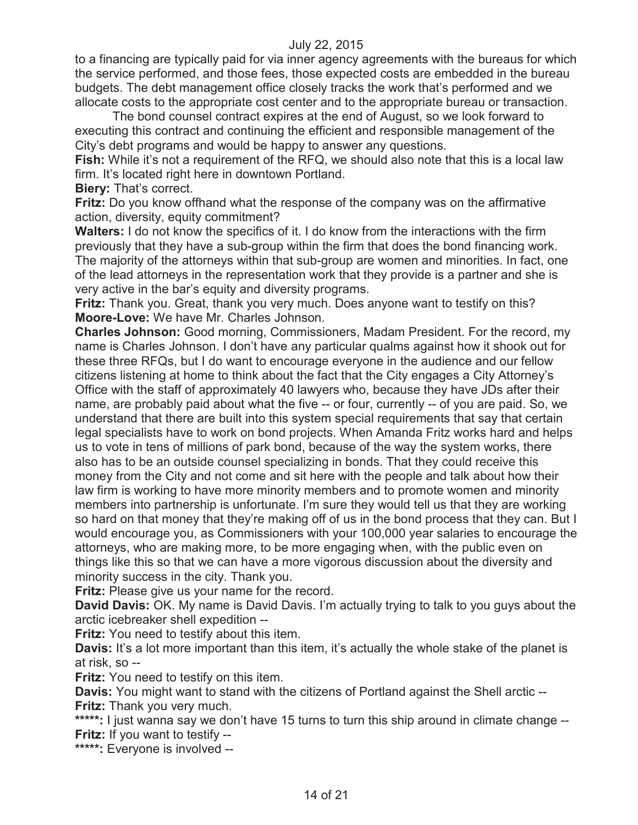to a financing are typically paid for via inner agency agreements with the bureaus for which the service performed, and those fees, those expected costs are embedded in the bureau budgets. The debt management office closely tracks the work that's performed and we allocate costs to the appropriate cost center and to the appropriate bureau or transaction.

The bond counsel contract expires at the end of August, so we look forward to executing this contract and continuing the efficient and responsible management of the City's debt programs and would be happy to answer any questions.

**Fish:** While it's not a requirement of the RFQ, we should also note that this is a local law firm. It's located right here in downtown Portland.

**Biery: That's correct.** 

**Fritz:** Do you know offhand what the response of the company was on the affirmative action, diversity, equity commitment?

**Walters:** I do not know the specifics of it. I do know from the interactions with the firm previously that they have a sub-group within the firm that does the bond financing work. The majority of the attorneys within that sub-group are women and minorities. In fact, one of the lead attorneys in the representation work that they provide is a partner and she is very active in the bar's equity and diversity programs.

**Fritz:** Thank you. Great, thank you very much. Does anyone want to testify on this? **Moore-Love:** We have Mr. Charles Johnson.

**Charles Johnson:** Good morning, Commissioners, Madam President. For the record, my name is Charles Johnson. I don't have any particular qualms against how it shook out for these three RFQs, but I do want to encourage everyone in the audience and our fellow citizens listening at home to think about the fact that the City engages a City Attorney's Office with the staff of approximately 40 lawyers who, because they have JDs after their name, are probably paid about what the five -- or four, currently -- of you are paid. So, we understand that there are built into this system special requirements that say that certain legal specialists have to work on bond projects. When Amanda Fritz works hard and helps us to vote in tens of millions of park bond, because of the way the system works, there also has to be an outside counsel specializing in bonds. That they could receive this money from the City and not come and sit here with the people and talk about how their law firm is working to have more minority members and to promote women and minority members into partnership is unfortunate. I'm sure they would tell us that they are working so hard on that money that they're making off of us in the bond process that they can. But I would encourage you, as Commissioners with your 100,000 year salaries to encourage the attorneys, who are making more, to be more engaging when, with the public even on things like this so that we can have a more vigorous discussion about the diversity and minority success in the city. Thank you.

**Fritz:** Please give us your name for the record.

**David Davis:** OK. My name is David Davis. I'm actually trying to talk to you guys about the arctic icebreaker shell expedition --

**Fritz:** You need to testify about this item.

**Davis:** It's a lot more important than this item, it's actually the whole stake of the planet is at risk, so --

**Fritz:** You need to testify on this item.

**Davis:** You might want to stand with the citizens of Portland against the Shell arctic -- **Fritz:** Thank you very much.

\*\*\*\*\*: I just wanna say we don't have 15 turns to turn this ship around in climate change --**Fritz:** If you want to testify --

**\*\*\*\*\*:** Everyone is involved --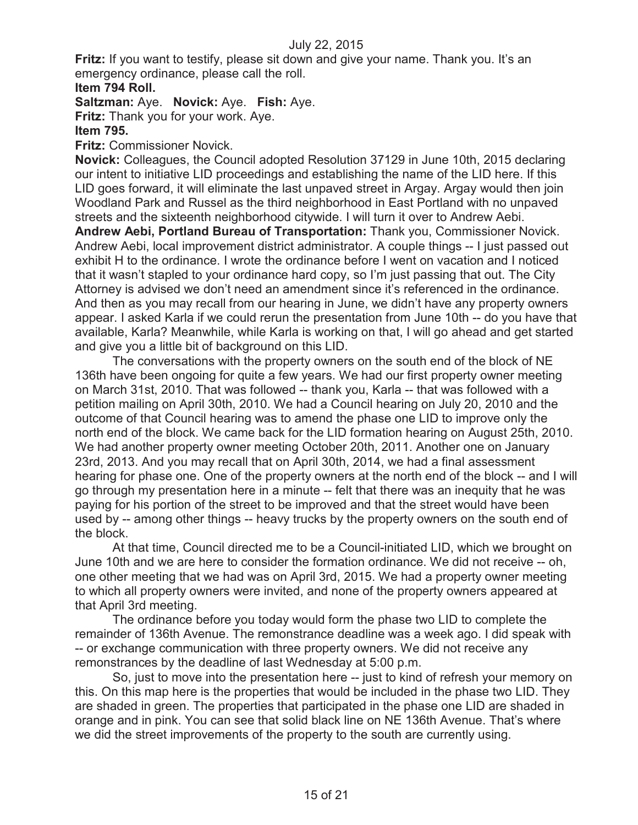**Fritz:** If you want to testify, please sit down and give your name. Thank you. It's an emergency ordinance, please call the roll.

## **Item 794 Roll.**

**Saltzman:** Aye. **Novick:** Aye. **Fish:** Aye.

**Fritz:** Thank you for your work. Aye.

### **Item 795.**

**Fritz:** Commissioner Novick.

**Novick:** Colleagues, the Council adopted Resolution 37129 in June 10th, 2015 declaring our intent to initiative LID proceedings and establishing the name of the LID here. If this LID goes forward, it will eliminate the last unpaved street in Argay. Argay would then join Woodland Park and Russel as the third neighborhood in East Portland with no unpaved streets and the sixteenth neighborhood citywide. I will turn it over to Andrew Aebi.

**Andrew Aebi, Portland Bureau of Transportation:** Thank you, Commissioner Novick. Andrew Aebi, local improvement district administrator. A couple things -- I just passed out exhibit H to the ordinance. I wrote the ordinance before I went on vacation and I noticed that it wasn't stapled to your ordinance hard copy, so I'm just passing that out. The City Attorney is advised we don't need an amendment since it's referenced in the ordinance. And then as you may recall from our hearing in June, we didn't have any property owners appear. I asked Karla if we could rerun the presentation from June 10th -- do you have that available, Karla? Meanwhile, while Karla is working on that, I will go ahead and get started and give you a little bit of background on this LID.

The conversations with the property owners on the south end of the block of NE 136th have been ongoing for quite a few years. We had our first property owner meeting on March 31st, 2010. That was followed -- thank you, Karla -- that was followed with a petition mailing on April 30th, 2010. We had a Council hearing on July 20, 2010 and the outcome of that Council hearing was to amend the phase one LID to improve only the north end of the block. We came back for the LID formation hearing on August 25th, 2010. We had another property owner meeting October 20th, 2011. Another one on January 23rd, 2013. And you may recall that on April 30th, 2014, we had a final assessment hearing for phase one. One of the property owners at the north end of the block -- and I will go through my presentation here in a minute -- felt that there was an inequity that he was paying for his portion of the street to be improved and that the street would have been used by -- among other things -- heavy trucks by the property owners on the south end of the block.

At that time, Council directed me to be a Council-initiated LID, which we brought on June 10th and we are here to consider the formation ordinance. We did not receive -- oh, one other meeting that we had was on April 3rd, 2015. We had a property owner meeting to which all property owners were invited, and none of the property owners appeared at that April 3rd meeting.

The ordinance before you today would form the phase two LID to complete the remainder of 136th Avenue. The remonstrance deadline was a week ago. I did speak with -- or exchange communication with three property owners. We did not receive any remonstrances by the deadline of last Wednesday at 5:00 p.m.

So, just to move into the presentation here -- just to kind of refresh your memory on this. On this map here is the properties that would be included in the phase two LID. They are shaded in green. The properties that participated in the phase one LID are shaded in orange and in pink. You can see that solid black line on NE 136th Avenue. That's where we did the street improvements of the property to the south are currently using.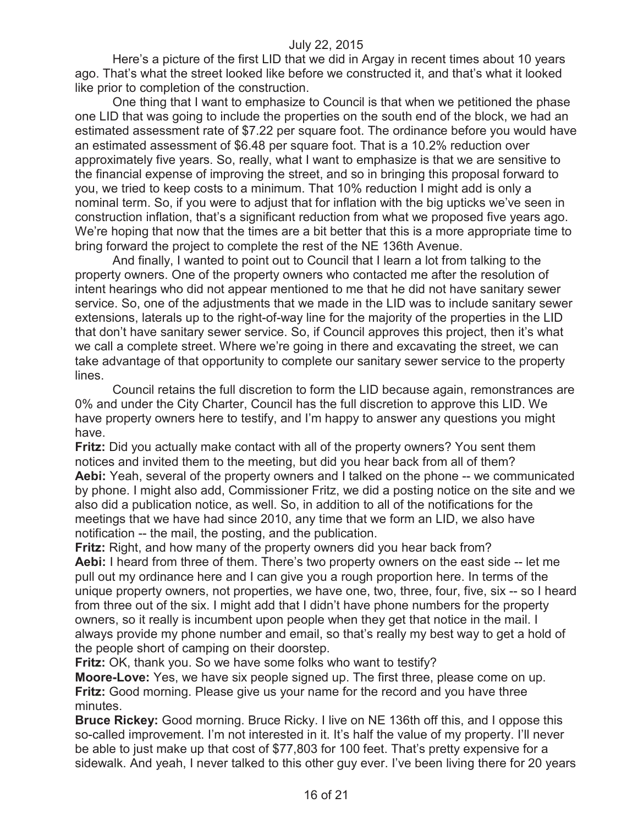Here's a picture of the first LID that we did in Argay in recent times about 10 years ago. That's what the street looked like before we constructed it, and that's what it looked like prior to completion of the construction.

One thing that I want to emphasize to Council is that when we petitioned the phase one LID that was going to include the properties on the south end of the block, we had an estimated assessment rate of \$7.22 per square foot. The ordinance before you would have an estimated assessment of \$6.48 per square foot. That is a 10.2% reduction over approximately five years. So, really, what I want to emphasize is that we are sensitive to the financial expense of improving the street, and so in bringing this proposal forward to you, we tried to keep costs to a minimum. That 10% reduction I might add is only a nominal term. So, if you were to adjust that for inflation with the big upticks we've seen in construction inflation, that's a significant reduction from what we proposed five years ago. We're hoping that now that the times are a bit better that this is a more appropriate time to bring forward the project to complete the rest of the NE 136th Avenue.

And finally, I wanted to point out to Council that I learn a lot from talking to the property owners. One of the property owners who contacted me after the resolution of intent hearings who did not appear mentioned to me that he did not have sanitary sewer service. So, one of the adjustments that we made in the LID was to include sanitary sewer extensions, laterals up to the right-of-way line for the majority of the properties in the LID that don't have sanitary sewer service. So, if Council approves this project, then it's what we call a complete street. Where we're going in there and excavating the street, we can take advantage of that opportunity to complete our sanitary sewer service to the property lines.

Council retains the full discretion to form the LID because again, remonstrances are 0% and under the City Charter, Council has the full discretion to approve this LID. We have property owners here to testify, and I'm happy to answer any questions you might have.

**Fritz:** Did you actually make contact with all of the property owners? You sent them notices and invited them to the meeting, but did you hear back from all of them? **Aebi:** Yeah, several of the property owners and I talked on the phone -- we communicated by phone. I might also add, Commissioner Fritz, we did a posting notice on the site and we also did a publication notice, as well. So, in addition to all of the notifications for the meetings that we have had since 2010, any time that we form an LID, we also have notification -- the mail, the posting, and the publication.

**Fritz:** Right, and how many of the property owners did you hear back from? **Aebi:** I heard from three of them. There's two property owners on the east side -- let me pull out my ordinance here and I can give you a rough proportion here. In terms of the unique property owners, not properties, we have one, two, three, four, five, six -- so I heard from three out of the six. I might add that I didn't have phone numbers for the property owners, so it really is incumbent upon people when they get that notice in the mail. I always provide my phone number and email, so that's really my best way to get a hold of the people short of camping on their doorstep.

**Fritz:** OK, thank you. So we have some folks who want to testify?

**Moore-Love:** Yes, we have six people signed up. The first three, please come on up. **Fritz:** Good morning. Please give us your name for the record and you have three minutes.

**Bruce Rickey:** Good morning. Bruce Ricky. I live on NE 136th off this, and I oppose this so-called improvement. I'm not interested in it. It's half the value of my property. I'll never be able to just make up that cost of \$77,803 for 100 feet. That's pretty expensive for a sidewalk. And yeah, I never talked to this other guy ever. I've been living there for 20 years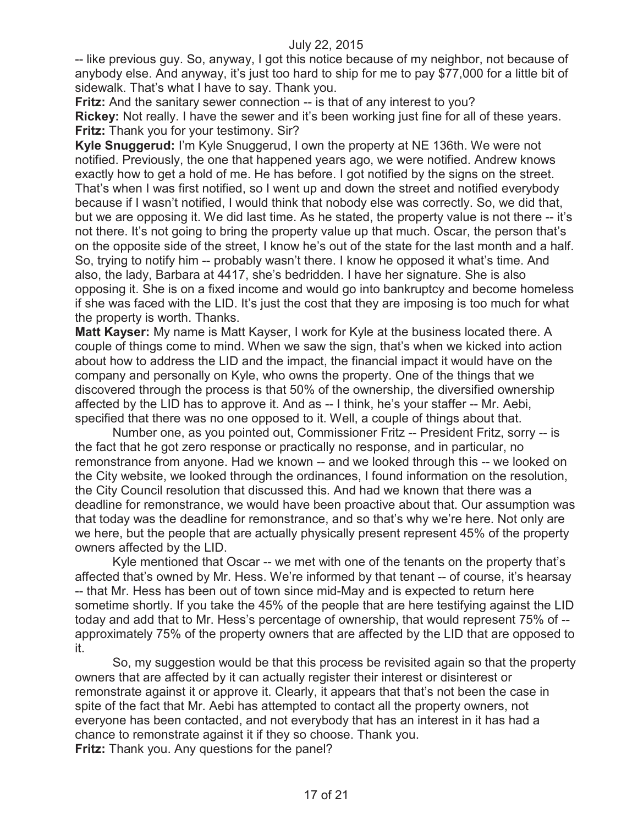-- like previous guy. So, anyway, I got this notice because of my neighbor, not because of anybody else. And anyway, it's just too hard to ship for me to pay \$77,000 for a little bit of sidewalk. That's what I have to say. Thank you.

**Fritz:** And the sanitary sewer connection -- is that of any interest to you? **Rickey:** Not really. I have the sewer and it's been working just fine for all of these years. **Fritz:** Thank you for your testimony. Sir?

**Kyle Snuggerud:** I'm Kyle Snuggerud, I own the property at NE 136th. We were not notified. Previously, the one that happened years ago, we were notified. Andrew knows exactly how to get a hold of me. He has before. I got notified by the signs on the street. That's when I was first notified, so I went up and down the street and notified everybody because if I wasn't notified, I would think that nobody else was correctly. So, we did that, but we are opposing it. We did last time. As he stated, the property value is not there -- it's not there. It's not going to bring the property value up that much. Oscar, the person that's on the opposite side of the street, I know he's out of the state for the last month and a half. So, trying to notify him -- probably wasn't there. I know he opposed it what's time. And also, the lady, Barbara at 4417, she's bedridden. I have her signature. She is also opposing it. She is on a fixed income and would go into bankruptcy and become homeless if she was faced with the LID. It's just the cost that they are imposing is too much for what the property is worth. Thanks.

**Matt Kayser:** My name is Matt Kayser, I work for Kyle at the business located there. A couple of things come to mind. When we saw the sign, that's when we kicked into action about how to address the LID and the impact, the financial impact it would have on the company and personally on Kyle, who owns the property. One of the things that we discovered through the process is that 50% of the ownership, the diversified ownership affected by the LID has to approve it. And as -- I think, he's your staffer -- Mr. Aebi, specified that there was no one opposed to it. Well, a couple of things about that.

Number one, as you pointed out, Commissioner Fritz -- President Fritz, sorry -- is the fact that he got zero response or practically no response, and in particular, no remonstrance from anyone. Had we known -- and we looked through this -- we looked on the City website, we looked through the ordinances, I found information on the resolution, the City Council resolution that discussed this. And had we known that there was a deadline for remonstrance, we would have been proactive about that. Our assumption was that today was the deadline for remonstrance, and so that's why we're here. Not only are we here, but the people that are actually physically present represent 45% of the property owners affected by the LID.

Kyle mentioned that Oscar -- we met with one of the tenants on the property that's affected that's owned by Mr. Hess. We're informed by that tenant -- of course, it's hearsay -- that Mr. Hess has been out of town since mid-May and is expected to return here sometime shortly. If you take the 45% of the people that are here testifying against the LID today and add that to Mr. Hess's percentage of ownership, that would represent 75% of - approximately 75% of the property owners that are affected by the LID that are opposed to it.

So, my suggestion would be that this process be revisited again so that the property owners that are affected by it can actually register their interest or disinterest or remonstrate against it or approve it. Clearly, it appears that that's not been the case in spite of the fact that Mr. Aebi has attempted to contact all the property owners, not everyone has been contacted, and not everybody that has an interest in it has had a chance to remonstrate against it if they so choose. Thank you. **Fritz:** Thank you. Any questions for the panel?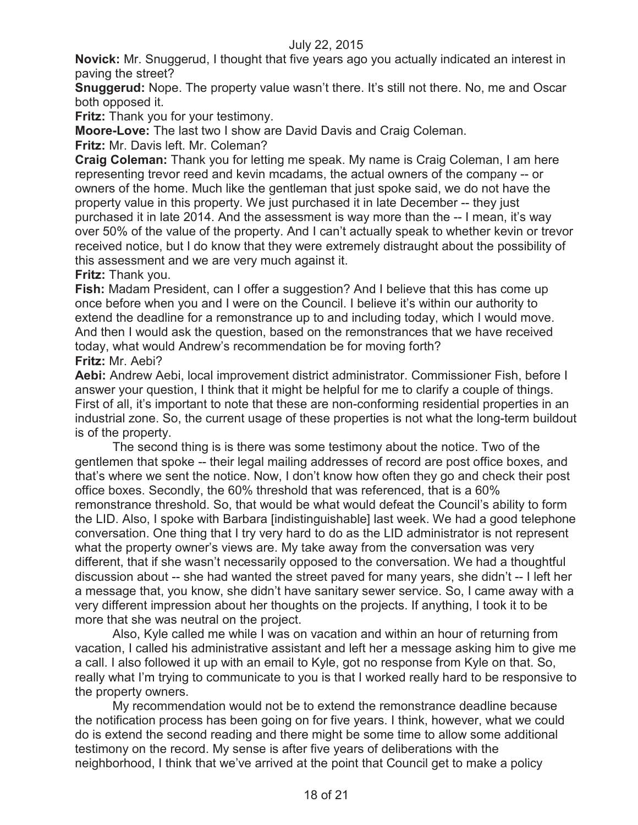**Novick:** Mr. Snuggerud, I thought that five years ago you actually indicated an interest in paving the street?

**Snuggerud:** Nope. The property value wasn't there. It's still not there. No, me and Oscar both opposed it.

**Fritz:** Thank you for your testimony.

**Moore-Love:** The last two I show are David Davis and Craig Coleman.

**Fritz:** Mr. Davis left. Mr. Coleman?

**Craig Coleman:** Thank you for letting me speak. My name is Craig Coleman, I am here representing trevor reed and kevin mcadams, the actual owners of the company -- or owners of the home. Much like the gentleman that just spoke said, we do not have the property value in this property. We just purchased it in late December -- they just purchased it in late 2014. And the assessment is way more than the -- I mean, it's way over 50% of the value of the property. And I can't actually speak to whether kevin or trevor received notice, but I do know that they were extremely distraught about the possibility of this assessment and we are very much against it.

**Fritz:** Thank you.

**Fish:** Madam President, can I offer a suggestion? And I believe that this has come up once before when you and I were on the Council. I believe it's within our authority to extend the deadline for a remonstrance up to and including today, which I would move. And then I would ask the question, based on the remonstrances that we have received today, what would Andrew's recommendation be for moving forth? **Fritz:** Mr. Aebi?

**Aebi:** Andrew Aebi, local improvement district administrator. Commissioner Fish, before I answer your question, I think that it might be helpful for me to clarify a couple of things. First of all, it's important to note that these are non-conforming residential properties in an industrial zone. So, the current usage of these properties is not what the long-term buildout is of the property.

The second thing is is there was some testimony about the notice. Two of the gentlemen that spoke -- their legal mailing addresses of record are post office boxes, and that's where we sent the notice. Now, I don't know how often they go and check their post office boxes. Secondly, the 60% threshold that was referenced, that is a 60% remonstrance threshold. So, that would be what would defeat the Council's ability to form the LID. Also, I spoke with Barbara [indistinguishable] last week. We had a good telephone conversation. One thing that I try very hard to do as the LID administrator is not represent what the property owner's views are. My take away from the conversation was very different, that if she wasn't necessarily opposed to the conversation. We had a thoughtful discussion about -- she had wanted the street paved for many years, she didn't -- I left her a message that, you know, she didn't have sanitary sewer service. So, I came away with a very different impression about her thoughts on the projects. If anything, I took it to be more that she was neutral on the project.

Also, Kyle called me while I was on vacation and within an hour of returning from vacation, I called his administrative assistant and left her a message asking him to give me a call. I also followed it up with an email to Kyle, got no response from Kyle on that. So, really what I'm trying to communicate to you is that I worked really hard to be responsive to the property owners.

My recommendation would not be to extend the remonstrance deadline because the notification process has been going on for five years. I think, however, what we could do is extend the second reading and there might be some time to allow some additional testimony on the record. My sense is after five years of deliberations with the neighborhood, I think that we've arrived at the point that Council get to make a policy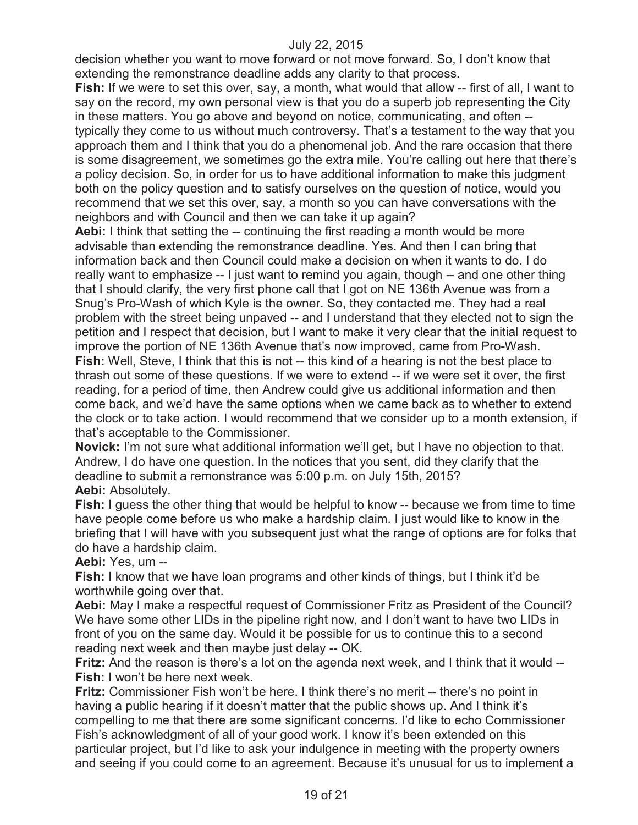decision whether you want to move forward or not move forward. So, I don't know that extending the remonstrance deadline adds any clarity to that process.

**Fish:** If we were to set this over, say, a month, what would that allow -- first of all, I want to say on the record, my own personal view is that you do a superb job representing the City in these matters. You go above and beyond on notice, communicating, and often - typically they come to us without much controversy. That's a testament to the way that you approach them and I think that you do a phenomenal job. And the rare occasion that there is some disagreement, we sometimes go the extra mile. You're calling out here that there's a policy decision. So, in order for us to have additional information to make this judgment both on the policy question and to satisfy ourselves on the question of notice, would you recommend that we set this over, say, a month so you can have conversations with the neighbors and with Council and then we can take it up again?

**Aebi:** I think that setting the -- continuing the first reading a month would be more advisable than extending the remonstrance deadline. Yes. And then I can bring that information back and then Council could make a decision on when it wants to do. I do really want to emphasize -- I just want to remind you again, though -- and one other thing that I should clarify, the very first phone call that I got on NE 136th Avenue was from a Snug's Pro-Wash of which Kyle is the owner. So, they contacted me. They had a real problem with the street being unpaved -- and I understand that they elected not to sign the petition and I respect that decision, but I want to make it very clear that the initial request to improve the portion of NE 136th Avenue that's now improved, came from Pro-Wash. **Fish:** Well, Steve, I think that this is not -- this kind of a hearing is not the best place to thrash out some of these questions. If we were to extend -- if we were set it over, the first reading, for a period of time, then Andrew could give us additional information and then come back, and we'd have the same options when we came back as to whether to extend the clock or to take action. I would recommend that we consider up to a month extension, if that's acceptable to the Commissioner.

**Novick:** I'm not sure what additional information we'll get, but I have no objection to that. Andrew, I do have one question. In the notices that you sent, did they clarify that the deadline to submit a remonstrance was 5:00 p.m. on July 15th, 2015?

**Aebi:** Absolutely.

**Fish:** I guess the other thing that would be helpful to know -- because we from time to time have people come before us who make a hardship claim. I just would like to know in the briefing that I will have with you subsequent just what the range of options are for folks that do have a hardship claim.

**Aebi:** Yes, um --

**Fish:** I know that we have loan programs and other kinds of things, but I think it'd be worthwhile going over that.

**Aebi:** May I make a respectful request of Commissioner Fritz as President of the Council? We have some other LIDs in the pipeline right now, and I don't want to have two LIDs in front of you on the same day. Would it be possible for us to continue this to a second reading next week and then maybe just delay -- OK.

**Fritz:** And the reason is there's a lot on the agenda next week, and I think that it would -- **Fish:** I won't be here next week.

**Fritz:** Commissioner Fish won't be here. I think there's no merit -- there's no point in having a public hearing if it doesn't matter that the public shows up. And I think it's compelling to me that there are some significant concerns. I'd like to echo Commissioner Fish's acknowledgment of all of your good work. I know it's been extended on this particular project, but I'd like to ask your indulgence in meeting with the property owners and seeing if you could come to an agreement. Because it's unusual for us to implement a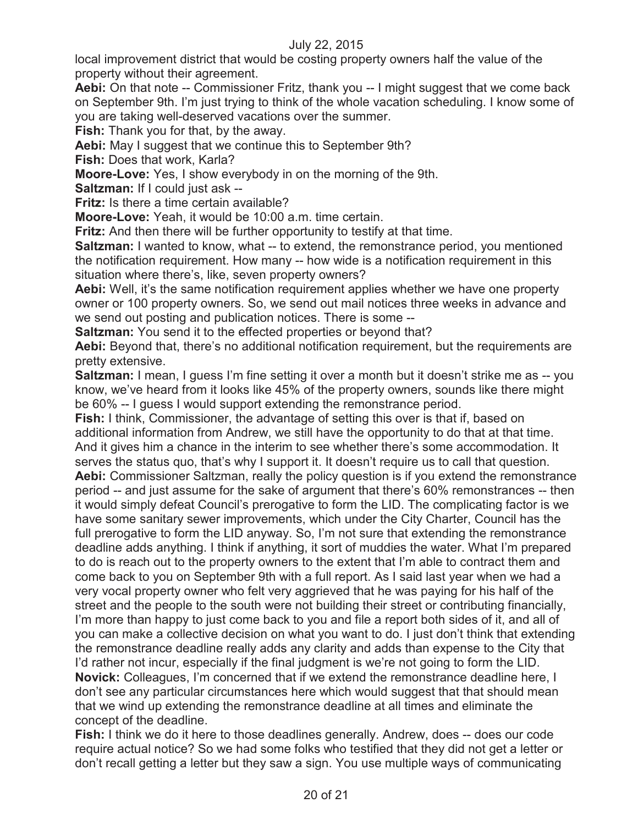local improvement district that would be costing property owners half the value of the property without their agreement.

**Aebi:** On that note -- Commissioner Fritz, thank you -- I might suggest that we come back on September 9th. I'm just trying to think of the whole vacation scheduling. I know some of you are taking well-deserved vacations over the summer.

**Fish:** Thank you for that, by the away.

**Aebi:** May I suggest that we continue this to September 9th?

**Fish:** Does that work, Karla?

**Moore-Love:** Yes, I show everybody in on the morning of the 9th.

**Saltzman:** If I could just ask --

**Fritz:** Is there a time certain available?

**Moore-Love:** Yeah, it would be 10:00 a.m. time certain.

**Fritz:** And then there will be further opportunity to testify at that time.

**Saltzman:** I wanted to know, what -- to extend, the remonstrance period, you mentioned the notification requirement. How many -- how wide is a notification requirement in this situation where there's, like, seven property owners?

**Aebi:** Well, it's the same notification requirement applies whether we have one property owner or 100 property owners. So, we send out mail notices three weeks in advance and we send out posting and publication notices. There is some --

**Saltzman:** You send it to the effected properties or beyond that?

**Aebi:** Beyond that, there's no additional notification requirement, but the requirements are pretty extensive.

**Saltzman:** I mean, I guess I'm fine setting it over a month but it doesn't strike me as -- you know, we've heard from it looks like 45% of the property owners, sounds like there might be 60% -- I guess I would support extending the remonstrance period.

**Fish:** I think, Commissioner, the advantage of setting this over is that if, based on additional information from Andrew, we still have the opportunity to do that at that time. And it gives him a chance in the interim to see whether there's some accommodation. It serves the status quo, that's why I support it. It doesn't require us to call that question. **Aebi:** Commissioner Saltzman, really the policy question is if you extend the remonstrance period -- and just assume for the sake of argument that there's 60% remonstrances -- then it would simply defeat Council's prerogative to form the LID. The complicating factor is we have some sanitary sewer improvements, which under the City Charter, Council has the full prerogative to form the LID anyway. So, I'm not sure that extending the remonstrance deadline adds anything. I think if anything, it sort of muddies the water. What I'm prepared to do is reach out to the property owners to the extent that I'm able to contract them and come back to you on September 9th with a full report. As I said last year when we had a very vocal property owner who felt very aggrieved that he was paying for his half of the street and the people to the south were not building their street or contributing financially, I'm more than happy to just come back to you and file a report both sides of it, and all of you can make a collective decision on what you want to do. I just don't think that extending the remonstrance deadline really adds any clarity and adds than expense to the City that I'd rather not incur, especially if the final judgment is we're not going to form the LID. **Novick:** Colleagues, I'm concerned that if we extend the remonstrance deadline here, I don't see any particular circumstances here which would suggest that that should mean that we wind up extending the remonstrance deadline at all times and eliminate the concept of the deadline.

**Fish:** I think we do it here to those deadlines generally. Andrew, does -- does our code require actual notice? So we had some folks who testified that they did not get a letter or don't recall getting a letter but they saw a sign. You use multiple ways of communicating